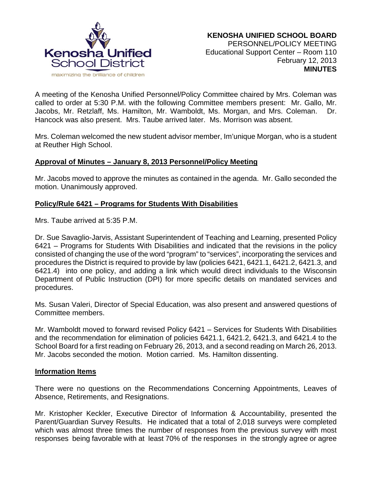

A meeting of the Kenosha Unified Personnel/Policy Committee chaired by Mrs. Coleman was called to order at 5:30 P.M. with the following Committee members present: Mr. Gallo, Mr. Jacobs, Mr. Retzlaff, Ms. Hamilton, Mr. Wamboldt, Ms. Morgan, and Mrs. Coleman. Dr. Hancock was also present. Mrs. Taube arrived later. Ms. Morrison was absent.

Mrs. Coleman welcomed the new student advisor member, Im'unique Morgan, who is a student at Reuther High School.

### **Approval of Minutes – January 8, 2013 Personnel/Policy Meeting**

Mr. Jacobs moved to approve the minutes as contained in the agenda. Mr. Gallo seconded the motion. Unanimously approved.

## **Policy/Rule 6421 – Programs for Students With Disabilities**

Mrs. Taube arrived at 5:35 P.M.

Dr. Sue Savaglio-Jarvis, Assistant Superintendent of Teaching and Learning, presented Policy 6421 – Programs for Students With Disabilities and indicated that the revisions in the policy consisted of changing the use of the word "program" to "services", incorporating the services and procedures the District is required to provide by law (policies 6421, 6421.1, 6421.2, 6421.3, and 6421.4) into one policy, and adding a link which would direct individuals to the Wisconsin Department of Public Instruction (DPI) for more specific details on mandated services and procedures.

Ms. Susan Valeri, Director of Special Education, was also present and answered questions of Committee members.

Mr. Wamboldt moved to forward revised Policy 6421 – Services for Students With Disabilities and the recommendation for elimination of policies 6421.1, 6421.2, 6421.3, and 6421.4 to the School Board for a first reading on February 26, 2013, and a second reading on March 26, 2013. Mr. Jacobs seconded the motion. Motion carried. Ms. Hamilton dissenting.

#### **Information Items**

There were no questions on the Recommendations Concerning Appointments, Leaves of Absence, Retirements, and Resignations.

Mr. Kristopher Keckler, Executive Director of Information & Accountability, presented the Parent/Guardian Survey Results. He indicated that a total of 2,018 surveys were completed which was almost three times the number of responses from the previous survey with most responses being favorable with at least 70% of the responses in the strongly agree or agree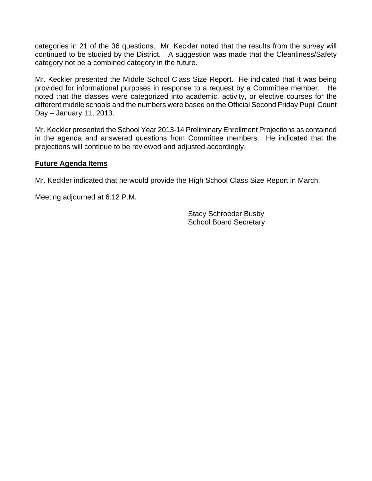categories in 21 of the 36 questions. Mr. Keckler noted that the results from the survey will continued to be studied by the District. A suggestion was made that the Cleanliness/Safety category not be a combined category in the future.

Mr. Keckler presented the Middle School Class Size Report. He indicated that it was being provided for informational purposes in response to a request by a Committee member. He noted that the classes were categorized into academic, activity, or elective courses for the different middle schools and the numbers were based on the Official Second Friday Pupil Count Day – January 11, 2013.

Mr. Keckler presented the School Year 2013-14 Preliminary Enrollment Projections as contained in the agenda and answered questions from Committee members. He indicated that the projections will continue to be reviewed and adjusted accordingly.

### **Future Agenda Items**

Mr. Keckler indicated that he would provide the High School Class Size Report in March.

Meeting adjourned at 6:12 P.M.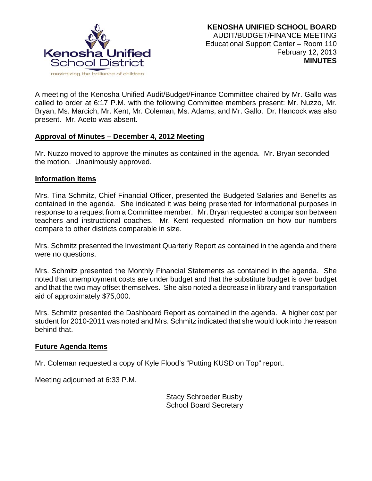

A meeting of the Kenosha Unified Audit/Budget/Finance Committee chaired by Mr. Gallo was called to order at 6:17 P.M. with the following Committee members present: Mr. Nuzzo, Mr. Bryan, Ms. Marcich, Mr. Kent, Mr. Coleman, Ms. Adams, and Mr. Gallo. Dr. Hancock was also present. Mr. Aceto was absent.

## **Approval of Minutes – December 4, 2012 Meeting**

Mr. Nuzzo moved to approve the minutes as contained in the agenda. Mr. Bryan seconded the motion. Unanimously approved.

#### **Information Items**

Mrs. Tina Schmitz, Chief Financial Officer, presented the Budgeted Salaries and Benefits as contained in the agenda. She indicated it was being presented for informational purposes in response to a request from a Committee member. Mr. Bryan requested a comparison between teachers and instructional coaches. Mr. Kent requested information on how our numbers compare to other districts comparable in size.

Mrs. Schmitz presented the Investment Quarterly Report as contained in the agenda and there were no questions.

Mrs. Schmitz presented the Monthly Financial Statements as contained in the agenda. She noted that unemployment costs are under budget and that the substitute budget is over budget and that the two may offset themselves. She also noted a decrease in library and transportation aid of approximately \$75,000.

Mrs. Schmitz presented the Dashboard Report as contained in the agenda. A higher cost per student for 2010-2011 was noted and Mrs. Schmitz indicated that she would look into the reason behind that.

#### **Future Agenda Items**

Mr. Coleman requested a copy of Kyle Flood's "Putting KUSD on Top" report.

Meeting adjourned at 6:33 P.M.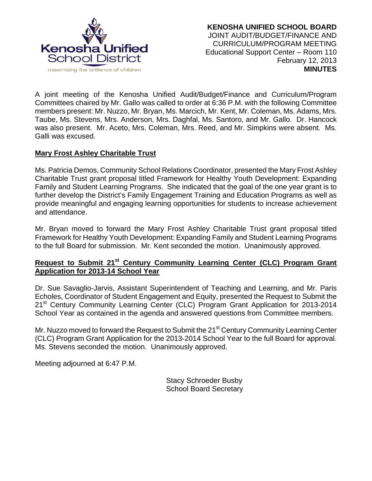

A joint meeting of the Kenosha Unified Audit/Budget/Finance and Curriculum/Program Committees chaired by Mr. Gallo was called to order at 6:36 P.M. with the following Committee members present: Mr. Nuzzo, Mr. Bryan, Ms. Marcich, Mr. Kent, Mr. Coleman, Ms. Adams, Mrs. Taube, Ms. Stevens, Mrs. Anderson, Mrs. Daghfal, Ms. Santoro, and Mr. Gallo. Dr. Hancock was also present. Mr. Aceto, Mrs. Coleman, Mrs. Reed, and Mr. Simpkins were absent. Ms. Galli was excused.

# **Mary Frost Ashley Charitable Trust**

Ms. Patricia Demos, Community School Relations Coordinator, presented the Mary Frost Ashley Charitable Trust grant proposal titled Framework for Healthy Youth Development: Expanding Family and Student Learning Programs. She indicated that the goal of the one year grant is to further develop the District's Family Engagement Training and Education Programs as well as provide meaningful and engaging learning opportunities for students to increase achievement and attendance.

Mr. Bryan moved to forward the Mary Frost Ashley Charitable Trust grant proposal titled Framework for Healthy Youth Development: Expanding Family and Student Learning Programs to the full Board for submission. Mr. Kent seconded the motion. Unanimously approved.

# **Request to Submit 21st Century Community Learning Center (CLC) Program Grant Application for 2013-14 School Year**

Dr. Sue Savaglio-Jarvis, Assistant Superintendent of Teaching and Learning, and Mr. Paris Echoles, Coordinator of Student Engagement and Equity, presented the Request to Submit the 21<sup>st</sup> Century Community Learning Center (CLC) Program Grant Application for 2013-2014 School Year as contained in the agenda and answered questions from Committee members.

Mr. Nuzzo moved to forward the Request to Submit the 21<sup>st</sup> Century Community Learning Center (CLC) Program Grant Application for the 2013-2014 School Year to the full Board for approval. Ms. Stevens seconded the motion. Unanimously approved.

Meeting adjourned at 6:47 P.M.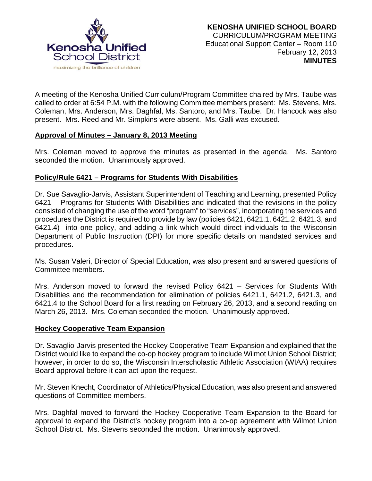

A meeting of the Kenosha Unified Curriculum/Program Committee chaired by Mrs. Taube was called to order at 6:54 P.M. with the following Committee members present: Ms. Stevens, Mrs. Coleman, Mrs. Anderson, Mrs. Daghfal, Ms. Santoro, and Mrs. Taube. Dr. Hancock was also present. Mrs. Reed and Mr. Simpkins were absent. Ms. Galli was excused.

## **Approval of Minutes – January 8, 2013 Meeting**

Mrs. Coleman moved to approve the minutes as presented in the agenda. Ms. Santoro seconded the motion. Unanimously approved.

# **Policy/Rule 6421 – Programs for Students With Disabilities**

Dr. Sue Savaglio-Jarvis, Assistant Superintendent of Teaching and Learning, presented Policy 6421 – Programs for Students With Disabilities and indicated that the revisions in the policy consisted of changing the use of the word "program" to "services", incorporating the services and procedures the District is required to provide by law (policies 6421, 6421.1, 6421.2, 6421.3, and 6421.4) into one policy, and adding a link which would direct individuals to the Wisconsin Department of Public Instruction (DPI) for more specific details on mandated services and procedures.

Ms. Susan Valeri, Director of Special Education, was also present and answered questions of Committee members.

Mrs. Anderson moved to forward the revised Policy 6421 – Services for Students With Disabilities and the recommendation for elimination of policies 6421.1, 6421.2, 6421.3, and 6421.4 to the School Board for a first reading on February 26, 2013, and a second reading on March 26, 2013. Mrs. Coleman seconded the motion. Unanimously approved.

## **Hockey Cooperative Team Expansion**

Dr. Savaglio-Jarvis presented the Hockey Cooperative Team Expansion and explained that the District would like to expand the co-op hockey program to include Wilmot Union School District; however, in order to do so, the Wisconsin Interscholastic Athletic Association (WIAA) requires Board approval before it can act upon the request.

Mr. Steven Knecht, Coordinator of Athletics/Physical Education, was also present and answered questions of Committee members.

Mrs. Daghfal moved to forward the Hockey Cooperative Team Expansion to the Board for approval to expand the District's hockey program into a co-op agreement with Wilmot Union School District. Ms. Stevens seconded the motion. Unanimously approved.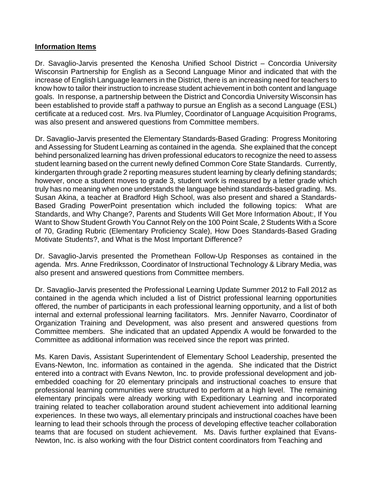### **Information Items**

Dr. Savaglio-Jarvis presented the Kenosha Unified School District – Concordia University Wisconsin Partnership for English as a Second Language Minor and indicated that with the increase of English Language learners in the District, there is an increasing need for teachers to know how to tailor their instruction to increase student achievement in both content and language goals. In response, a partnership between the District and Concordia University Wisconsin has been established to provide staff a pathway to pursue an English as a second Language (ESL) certificate at a reduced cost. Mrs. Iva Plumley, Coordinator of Language Acquisition Programs, was also present and answered questions from Committee members.

Dr. Savaglio-Jarvis presented the Elementary Standards-Based Grading: Progress Monitoring and Assessing for Student Learning as contained in the agenda. She explained that the concept behind personalized learning has driven professional educators to recognize the need to assess student learning based on the current newly defined Common Core State Standards. Currently, kindergarten through grade 2 reporting measures student learning by clearly defining standards; however, once a student moves to grade 3, student work is measured by a letter grade which truly has no meaning when one understands the language behind standards-based grading. Ms. Susan Akina, a teacher at Bradford High School, was also present and shared a Standards-Based Grading PowerPoint presentation which included the following topics: What are Standards, and Why Change?, Parents and Students Will Get More Information About:, If You Want to Show Student Growth You Cannot Rely on the 100 Point Scale, 2 Students With a Score of 70, Grading Rubric (Elementary Proficiency Scale), How Does Standards-Based Grading Motivate Students?, and What is the Most Important Difference?

Dr. Savaglio-Jarvis presented the Promethean Follow-Up Responses as contained in the agenda. Mrs. Anne Fredriksson, Coordinator of Instructional Technology & Library Media, was also present and answered questions from Committee members.

Dr. Savaglio-Jarvis presented the Professional Learning Update Summer 2012 to Fall 2012 as contained in the agenda which included a list of District professional learning opportunities offered, the number of participants in each professional learning opportunity, and a list of both internal and external professional learning facilitators. Mrs. Jennifer Navarro, Coordinator of Organization Training and Development, was also present and answered questions from Committee members. She indicated that an updated Appendix A would be forwarded to the Committee as additional information was received since the report was printed.

Ms. Karen Davis, Assistant Superintendent of Elementary School Leadership, presented the Evans-Newton, Inc. information as contained in the agenda. She indicated that the District entered into a contract with Evans Newton, Inc. to provide professional development and jobembedded coaching for 20 elementary principals and instructional coaches to ensure that professional learning communities were structured to perform at a high level. The remaining elementary principals were already working with Expeditionary Learning and incorporated training related to teacher collaboration around student achievement into additional learning experiences. In these two ways, all elementary principals and instructional coaches have been learning to lead their schools through the process of developing effective teacher collaboration teams that are focused on student achievement. Ms. Davis further explained that Evans-Newton, Inc. is also working with the four District content coordinators from Teaching and